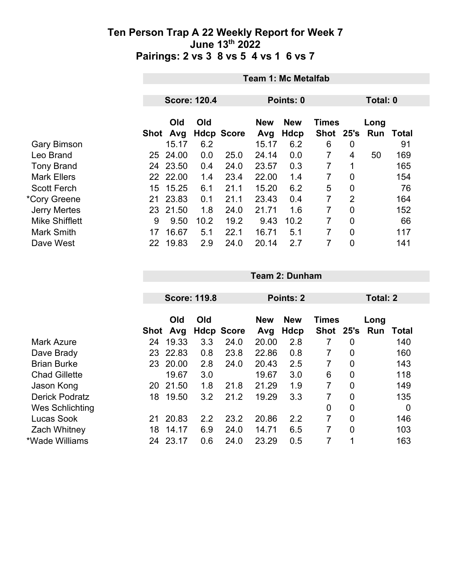|                     | <b>Team 1: Mc Metalfab</b> |                     |      |                   |                   |                           |                           |                |             |              |  |
|---------------------|----------------------------|---------------------|------|-------------------|-------------------|---------------------------|---------------------------|----------------|-------------|--------------|--|
|                     |                            | <b>Score: 120.4</b> |      |                   | Points: 0         |                           | Total: 0                  |                |             |              |  |
|                     | Shot                       | Old<br>Avg          | Old  | <b>Hdcp Score</b> | <b>New</b><br>Avg | <b>New</b><br><b>Hdcp</b> | <b>Times</b><br>Shot 25's |                | Long<br>Run | <b>Total</b> |  |
| <b>Gary Bimson</b>  |                            | 15.17               | 6.2  |                   | 15.17             | 6.2                       | 6                         | 0              |             | 91           |  |
| Leo Brand           | 25                         | 24.00               | 0.0  | 25.0              | 24.14             | 0.0                       | 7                         | 4              | 50          | 169          |  |
| <b>Tony Brand</b>   | 24                         | 23.50               | 0.4  | 24.0              | 23.57             | 0.3                       | 7                         | 1              |             | 165          |  |
| <b>Mark Ellers</b>  |                            | 22 22.00            | 1.4  | 23.4              | 22.00             | 1.4                       | $\overline{7}$            | 0              |             | 154          |  |
| <b>Scott Ferch</b>  | 15                         | 15.25               | 6.1  | 21.1              | 15.20             | 6.2                       | 5                         | $\mathbf 0$    |             | 76           |  |
| *Cory Greene        | 21                         | 23.83               | 0.1  | 21.1              | 23.43             | 0.4                       | $\overline{7}$            | 2              |             | 164          |  |
| <b>Jerry Mertes</b> | 23                         | 21.50               | 1.8  | 24.0              | 21.71             | 1.6                       | 7                         | 0              |             | 152          |  |
| Mike Shifflett      | 9                          | 9.50                | 10.2 | 19.2              | 9.43              | 10.2                      | 7                         | 0              |             | 66           |  |
| <b>Mark Smith</b>   | 17                         | 16.67               | 5.1  | 22.1              | 16.71             | 5.1                       | 7                         | $\overline{0}$ |             | 117          |  |
| Dave West           | 22                         | 19.83               | 2.9  | 24.0              | 20.14             | 2.7                       | 7                         | 0              |             | 141          |  |

|    | Old   | Old                           |                     | <b>New</b>        | <b>New</b> |                   |                | Long<br>Run               | Total           |
|----|-------|-------------------------------|---------------------|-------------------|------------|-------------------|----------------|---------------------------|-----------------|
| 24 | 19.33 | 3.3                           | 24.0                | 20.00             | 2.8        |                   | 0              |                           | 140             |
| 23 | 22.83 | 0.8                           | 23.8                | 22.86             | 0.8        | 7                 | 0              |                           | 160             |
| 23 | 20.00 | 2.8                           | 24.0                | 20.43             | 2.5        | 7                 | 0              |                           | 143             |
|    | 19.67 | 3.0                           |                     | 19.67             | 3.0        | 6                 | 0              |                           | 118             |
| 20 |       | 1.8                           | 21.8                | 21.29             | 1.9        | 7                 | 0              |                           | 149             |
| 18 | 19.50 | 3.2                           | 21.2                | 19.29             | 3.3        |                   | 0              |                           | 135             |
|    |       |                               |                     |                   |            | 0                 | 0              |                           | 0               |
| 21 |       | 2.2                           | 23.2                | 20.86             | 2.2        | 7                 | 0              |                           | 146             |
| 18 | 14.17 | 6.9                           | 24.0                | 14.71             | 6.5        | 7                 | $\overline{0}$ |                           | 103             |
| 24 | 23.17 | 0.6                           | 24.0                | 23.29             | 0.5        | 7                 | 1              |                           | 163             |
|    |       | Avg<br>Shot<br>21.50<br>20.83 | <b>Score: 119.8</b> | <b>Hdcp Score</b> | Avg        | Points: 2<br>Hdcp |                | <b>Times</b><br>Shot 25's | <b>Total: 2</b> |

**Team 2: Dunham**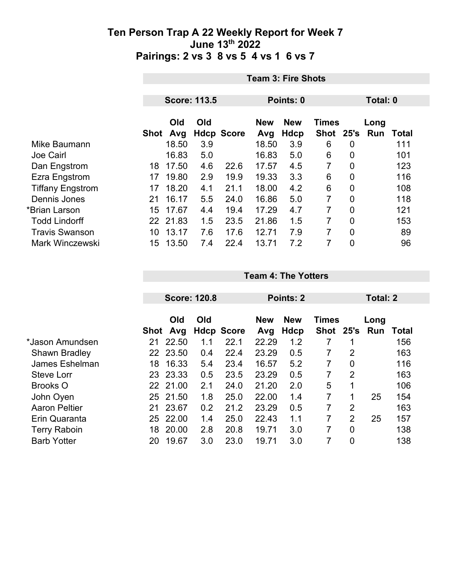|                         |                     | <b>Team 3: Fire Shots</b> |     |                   |                   |                           |                           |                |             |       |  |
|-------------------------|---------------------|---------------------------|-----|-------------------|-------------------|---------------------------|---------------------------|----------------|-------------|-------|--|
|                         |                     |                           |     |                   |                   |                           |                           |                |             |       |  |
|                         | <b>Score: 113.5</b> |                           |     |                   |                   | Points: 0                 |                           | Total: 0       |             |       |  |
|                         |                     | Old<br>Shot Avg           | Old | <b>Hdcp Score</b> | <b>New</b><br>Avg | <b>New</b><br><b>Hdcp</b> | <b>Times</b><br>Shot 25's |                | Long<br>Run | Total |  |
| Mike Baumann            |                     | 18.50                     | 3.9 |                   | 18.50             | 3.9                       | 6                         | $\overline{0}$ |             | 111   |  |
| <b>Joe Cairl</b>        |                     | 16.83                     | 5.0 |                   | 16.83             | 5.0                       | 6                         | $\overline{0}$ |             | 101   |  |
| Dan Engstrom            | 18                  | 17.50                     | 4.6 | 22.6              | 17.57             | 4.5                       | 7                         | 0              |             | 123   |  |
| Ezra Engstrom           | 17                  | 19.80                     | 2.9 | 19.9              | 19.33             | 3.3                       | 6                         | 0              |             | 116   |  |
| <b>Tiffany Engstrom</b> | 17                  | 18.20                     | 4.1 | 21.1              | 18.00             | 4.2                       | 6                         | $\overline{0}$ |             | 108   |  |
| Dennis Jones            | 21                  | 16.17                     | 5.5 | 24.0              | 16.86             | 5.0                       | 7                         | $\overline{0}$ |             | 118   |  |
| *Brian Larson           | 15                  | 17.67                     | 4.4 | 19.4              | 17.29             | 4.7                       | 7                         | 0              |             | 121   |  |
| <b>Todd Lindorff</b>    |                     | 22 21.83                  | 1.5 | 23.5              | 21.86             | 1.5                       | 7                         | $\overline{0}$ |             | 153   |  |
| <b>Travis Swanson</b>   | 10                  | 13.17                     | 7.6 | 17.6              | 12.71             | 7.9                       | 7                         | $\overline{0}$ |             | 89    |  |
| <b>Mark Winczewski</b>  | 15                  | 13.50                     | 7.4 | 22.4              | 13.71             | 7.2                       | 7                         | 0              |             | 96    |  |

**Team 4: The Yotters**

|                      |      | <b>Score: 120.8</b> |     |                   |                                          | Points: 2 |               | Total: 2       |      |       |  |
|----------------------|------|---------------------|-----|-------------------|------------------------------------------|-----------|---------------|----------------|------|-------|--|
|                      |      | Old<br>Old          |     |                   | <b>New</b><br><b>Times</b><br><b>New</b> |           |               |                | Long |       |  |
|                      | Shot | Avg                 |     | <b>Hdcp Score</b> | Avg                                      | Hdcp      | Shot 25's Run |                |      | Total |  |
| *Jason Amundsen      | 21   | 22.50               | 1.1 | 22.1              | 22.29                                    | 1.2       |               |                |      | 156   |  |
| <b>Shawn Bradley</b> |      | 22 23.50            | 0.4 | 22.4              | 23.29                                    | 0.5       |               | 2              |      | 163   |  |
| James Eshelman       | 18   | 16.33               | 5.4 | 23.4              | 16.57                                    | 5.2       | 7             | 0              |      | 116   |  |
| <b>Steve Lorr</b>    |      | 23 23.33            | 0.5 | 23.5              | 23.29                                    | 0.5       |               | 2              |      | 163   |  |
| <b>Brooks O</b>      | 22   | 21.00               | 2.1 | 24.0              | 21.20                                    | 2.0       | 5             | 1              |      | 106   |  |
| John Oyen            | 25   | 21.50               | 1.8 | 25.0              | 22.00                                    | 1.4       | 7             | 1              | 25   | 154   |  |
| <b>Aaron Peltier</b> | 21   | 23.67               | 0.2 | 21.2              | 23.29                                    | 0.5       | 7             | $\overline{2}$ |      | 163   |  |
| Erin Quaranta        | 25   | 22.00               | 1.4 | 25.0              | 22.43                                    | 1.1       | 7             | $\overline{2}$ | 25   | 157   |  |
| <b>Terry Raboin</b>  | 18   | 20.00               | 2.8 | 20.8              | 19.71                                    | 3.0       |               | 0              |      | 138   |  |
| <b>Barb Yotter</b>   | 20   | 19.67               | 3.0 | 23.0              | 19.71                                    | 3.0       |               | 0              |      | 138   |  |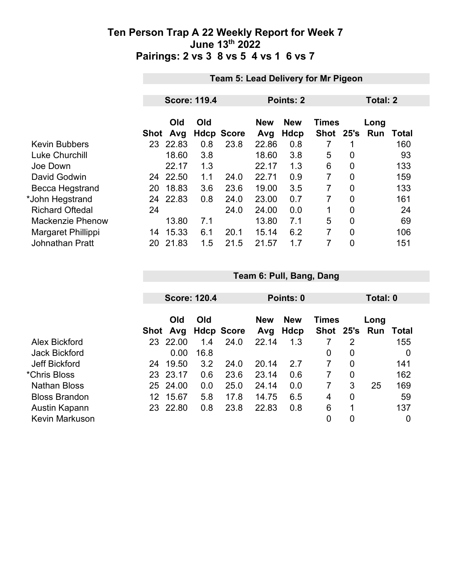|    |            |                                       |                     |                   |                           |             | Total: 2       |              |                                     |  |  |
|----|------------|---------------------------------------|---------------------|-------------------|---------------------------|-------------|----------------|--------------|-------------------------------------|--|--|
|    | Old<br>Avg | Old                                   | <b>Score</b>        | <b>New</b><br>Avg | <b>New</b><br><b>Hdcp</b> | <b>Shot</b> | 25's           | Long<br>Run  | <b>Total</b>                        |  |  |
|    |            | 0.8                                   | 23.8                | 22.86             | 0.8                       |             |                |              | 160                                 |  |  |
|    | 18.60      | 3.8                                   |                     | 18.60             | 3.8                       | 5           | 0              |              | 93                                  |  |  |
|    | 22.17      | 1.3                                   |                     | 22.17             | 1.3                       | 6           | 0              |              | 133                                 |  |  |
|    |            | 1.1                                   | 24.0                | 22.71             | 0.9                       | 7           | 0              |              | 159                                 |  |  |
| 20 | 18.83      | 3.6                                   | 23.6                | 19.00             | 3.5                       | 7           | $\overline{0}$ |              | 133                                 |  |  |
| 24 |            | 0.8                                   | 24.0                | 23.00             | 0.7                       | 7           | 0              |              | 161                                 |  |  |
| 24 |            |                                       | 24.0                | 24.00             | 0.0                       | 1           | 0              |              | 24                                  |  |  |
|    | 13.80      | 7.1                                   |                     | 13.80             | 7.1                       | 5           | $\overline{0}$ |              | 69                                  |  |  |
| 14 | 15.33      | 6.1                                   | 20.1                | 15.14             | 6.2                       | 7           | 0              |              | 106                                 |  |  |
| 20 | 21.83      | 1.5                                   | 21.5                | 21.57             | 1.7                       | 7           | 0              |              | 151                                 |  |  |
|    |            | Shot<br>23 22.83<br>24 22.50<br>22.83 | <b>Score: 119.4</b> | Hdcp              |                           | Points: 2   |                | <b>Times</b> | Team 5: Lead Delivery for Mr Pigeon |  |  |

|                       |      | <b>Score: 120.4</b> |      |                   |                   | Points: 0          |              | Total: 0 |                             |     |  |
|-----------------------|------|---------------------|------|-------------------|-------------------|--------------------|--------------|----------|-----------------------------|-----|--|
|                       | Shot | Old<br>Avg          | Old  | <b>Hdcp Score</b> | <b>New</b><br>Avg | <b>New</b><br>Hdcp | <b>Times</b> |          | Long<br>Shot 25's Run Total |     |  |
| Alex Bickford         | 23   | 22.00               | 1.4  | 24.0              | 22.14             | 1.3                |              | 2        |                             | 155 |  |
| <b>Jack Bickford</b>  |      | 0.00                | 16.8 |                   |                   |                    | 0            | 0        |                             | 0   |  |
| <b>Jeff Bickford</b>  | 24   | 19.50               | 3.2  | 24.0              | 20.14             | 2.7                | 7            | 0        |                             | 141 |  |
| *Chris Bloss          | 23   | 23.17               | 0.6  | 23.6              | 23.14             | 0.6                |              | 0        |                             | 162 |  |
| <b>Nathan Bloss</b>   | 25   | 24.00               | 0.0  | 25.0              | 24.14             | 0.0                |              | 3        | 25                          | 169 |  |
| <b>Bloss Brandon</b>  | 12   | 15.67               | 5.8  | 17.8              | 14.75             | 6.5                | 4            | 0        |                             | 59  |  |
| Austin Kapann         |      | 23 22.80            | 0.8  | 23.8              | 22.83             | 0.8                | 6            | 1        |                             | 137 |  |
| <b>Kevin Markuson</b> |      |                     |      |                   |                   |                    | 0            | 0        |                             | 0   |  |

**Team 6: Pull, Bang, Dang**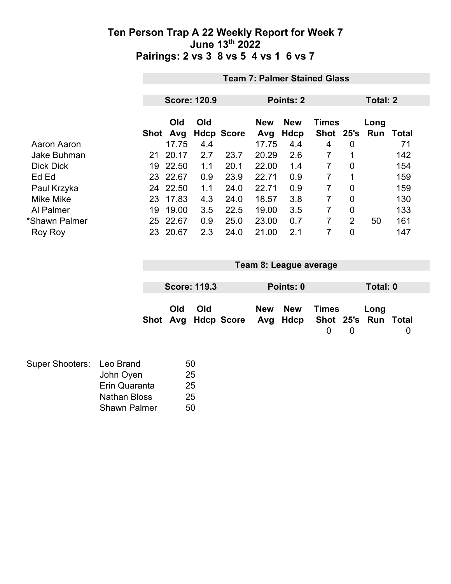|                    | <b>Team 7: Palmer Stained Glass</b> |                     |     |                   |            |                            |                |                |      |       |  |
|--------------------|-------------------------------------|---------------------|-----|-------------------|------------|----------------------------|----------------|----------------|------|-------|--|
|                    |                                     |                     |     |                   |            |                            |                |                |      |       |  |
|                    |                                     | <b>Score: 120.9</b> |     |                   | Points: 2  |                            |                | Total: 2       |      |       |  |
|                    |                                     | Old<br>Old          |     |                   | <b>New</b> | <b>New</b><br><b>Times</b> |                |                | Long |       |  |
|                    | Shot                                | Avg                 |     | <b>Hdcp Score</b> | Avg        | Hdcp                       | <b>Shot</b>    | 25's           | Run  | Total |  |
| Aaron Aaron        |                                     | 17.75               | 4.4 |                   | 17.75      | 4.4                        | 4              | $\overline{0}$ |      | 71    |  |
| <b>Jake Buhman</b> | 21                                  | 20.17               | 2.7 | 23.7              | 20.29      | 2.6                        |                |                |      | 142   |  |
| <b>Dick Dick</b>   | 19                                  | 22.50               | 1.1 | 20.1              | 22.00      | 1.4                        |                | 0              |      | 154   |  |
| Ed Ed              | 23                                  | 22.67               | 0.9 | 23.9              | 22.71      | 0.9                        | 7              | 1              |      | 159   |  |
| Paul Krzyka        | 24                                  | 22.50               | 1.1 | 24.0              | 22.71      | 0.9                        | $\overline{7}$ | 0              |      | 159   |  |
| <b>Mike Mike</b>   | 23                                  | 17.83               | 4.3 | 24.0              | 18.57      | 3.8                        | 7              | $\overline{0}$ |      | 130   |  |
| Al Palmer          | 19                                  | 19.00               | 3.5 | 22.5              | 19.00      | 3.5                        | $\overline{7}$ | 0              |      | 133   |  |
| *Shawn Palmer      | 25                                  | 22.67               | 0.9 | 25.0              | 23.00      | 0.7                        | 7              | $\overline{2}$ | 50   | 161   |  |
| Roy Roy            | 23                                  | 20.67               | 2.3 | 24.0              | 21.00      | 2.1                        | 7              | 0              |      | 147   |  |

| Team 8: League average |                     |  |  |           |                                                  |  |          |   |
|------------------------|---------------------|--|--|-----------|--------------------------------------------------|--|----------|---|
|                        |                     |  |  |           |                                                  |  |          |   |
|                        | <b>Score: 119.3</b> |  |  | Points: 0 |                                                  |  | Total: 0 |   |
| Old                    | Old                 |  |  | New New   | Times                                            |  | Long     |   |
|                        |                     |  |  |           | Shot Avg Hdcp Score Avg Hdcp Shot 25's Run Total |  |          |   |
|                        |                     |  |  |           |                                                  |  |          | 0 |
|                        |                     |  |  |           |                                                  |  |          |   |

| Super Shooters: Leo Brand |                     | 50 |
|---------------------------|---------------------|----|
|                           | John Oyen           | 25 |
|                           | Erin Quaranta       | 25 |
|                           | <b>Nathan Bloss</b> | 25 |
|                           | <b>Shawn Palmer</b> | 50 |
|                           |                     |    |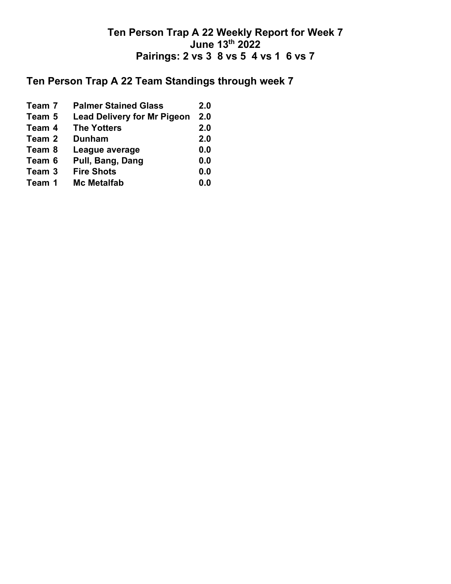# **Ten Person Trap A 22 Team Standings through week 7**

| Team 7 | <b>Palmer Stained Glass</b>        | 2.0 |
|--------|------------------------------------|-----|
| Team 5 | <b>Lead Delivery for Mr Pigeon</b> | 2.0 |
| Team 4 | <b>The Yotters</b>                 | 2.0 |
| Team 2 | <b>Dunham</b>                      | 2.0 |
| Team 8 | League average                     | 0.0 |
| Team 6 | Pull, Bang, Dang                   | 0.0 |
| Team 3 | <b>Fire Shots</b>                  | 0.0 |
| Team 1 | <b>Mc Metalfab</b>                 | 0.0 |
|        |                                    |     |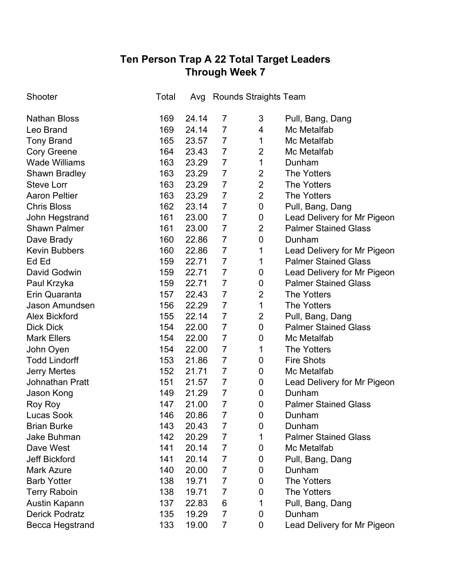## **Ten Person Trap A 22 Total Target Leaders Through Week 7**

| Shooter                | Total | Avg   |                | Rounds Straights Team |                             |
|------------------------|-------|-------|----------------|-----------------------|-----------------------------|
| <b>Nathan Bloss</b>    | 169   | 24.14 | 7              | 3                     | Pull, Bang, Dang            |
| Leo Brand              | 169   | 24.14 | $\overline{7}$ | 4                     | Mc Metalfab                 |
| <b>Tony Brand</b>      | 165   | 23.57 | $\overline{7}$ | 1                     | Mc Metalfab                 |
| <b>Cory Greene</b>     | 164   | 23.43 | $\overline{7}$ | $\overline{2}$        | Mc Metalfab                 |
| <b>Wade Williams</b>   | 163   | 23.29 | $\overline{7}$ | 1                     | Dunham                      |
| <b>Shawn Bradley</b>   | 163   | 23.29 | 7              | $\overline{2}$        | The Yotters                 |
| <b>Steve Lorr</b>      | 163   | 23.29 | $\overline{7}$ | $\overline{2}$        | <b>The Yotters</b>          |
| <b>Aaron Peltier</b>   | 163   | 23.29 | $\overline{7}$ | $\overline{2}$        | <b>The Yotters</b>          |
| <b>Chris Bloss</b>     | 162   | 23.14 | $\overline{7}$ | 0                     | Pull, Bang, Dang            |
| John Hegstrand         | 161   | 23.00 | $\overline{7}$ | 0                     | Lead Delivery for Mr Pigeon |
| <b>Shawn Palmer</b>    | 161   | 23.00 | $\overline{7}$ | $\overline{2}$        | <b>Palmer Stained Glass</b> |
| Dave Brady             | 160   | 22.86 | $\overline{7}$ | $\mathbf 0$           | Dunham                      |
| <b>Kevin Bubbers</b>   | 160   | 22.86 | $\overline{7}$ | 1                     | Lead Delivery for Mr Pigeon |
| Ed Ed                  | 159   | 22.71 | $\overline{7}$ | 1                     | <b>Palmer Stained Glass</b> |
| David Godwin           | 159   | 22.71 | $\overline{7}$ | 0                     | Lead Delivery for Mr Pigeon |
| Paul Krzyka            | 159   | 22.71 | $\overline{7}$ | 0                     | <b>Palmer Stained Glass</b> |
| Erin Quaranta          | 157   | 22.43 | $\overline{7}$ | $\overline{2}$        | <b>The Yotters</b>          |
| Jason Amundsen         | 156   | 22.29 | $\overline{7}$ | 1                     | <b>The Yotters</b>          |
| <b>Alex Bickford</b>   | 155   | 22.14 | $\overline{7}$ | $\overline{2}$        | Pull, Bang, Dang            |
| <b>Dick Dick</b>       | 154   | 22.00 | $\overline{7}$ | $\mathbf 0$           | <b>Palmer Stained Glass</b> |
| <b>Mark Ellers</b>     | 154   | 22.00 | $\overline{7}$ | 0                     | Mc Metalfab                 |
| John Oyen              | 154   | 22.00 | $\overline{7}$ | 1                     | <b>The Yotters</b>          |
| <b>Todd Lindorff</b>   | 153   | 21.86 | $\overline{7}$ | 0                     | <b>Fire Shots</b>           |
| <b>Jerry Mertes</b>    | 152   | 21.71 | $\overline{7}$ | 0                     | Mc Metalfab                 |
| <b>Johnathan Pratt</b> | 151   | 21.57 | $\overline{7}$ | 0                     | Lead Delivery for Mr Pigeon |
| Jason Kong             | 149   | 21.29 | $\overline{7}$ | 0                     | Dunham                      |
| Roy Roy                | 147   | 21.00 | $\overline{7}$ | 0                     | <b>Palmer Stained Glass</b> |
| Lucas Sook             | 146   | 20.86 | $\overline{7}$ | 0                     | Dunham                      |
| <b>Brian Burke</b>     | 143   | 20.43 | $\overline{7}$ | $\mathbf 0$           | Dunham                      |
| <b>Jake Buhman</b>     | 142   | 20.29 | 7              | 1                     | <b>Palmer Stained Glass</b> |
| Dave West              | 141   | 20.14 | 7              | 0                     | Mc Metalfab                 |
| <b>Jeff Bickford</b>   | 141   | 20.14 | $\overline{7}$ | 0                     | Pull, Bang, Dang            |
| <b>Mark Azure</b>      | 140   | 20.00 | $\overline{7}$ | 0                     | Dunham                      |
| <b>Barb Yotter</b>     | 138   | 19.71 | $\overline{7}$ | 0                     | <b>The Yotters</b>          |
| <b>Terry Raboin</b>    | 138   | 19.71 | 7              | 0                     | <b>The Yotters</b>          |
| Austin Kapann          | 137   | 22.83 | 6              | 1                     | Pull, Bang, Dang            |
| <b>Derick Podratz</b>  | 135   | 19.29 | $\overline{7}$ | 0                     | Dunham                      |
| Becca Hegstrand        | 133   | 19.00 | $\overline{7}$ | 0                     | Lead Delivery for Mr Pigeon |